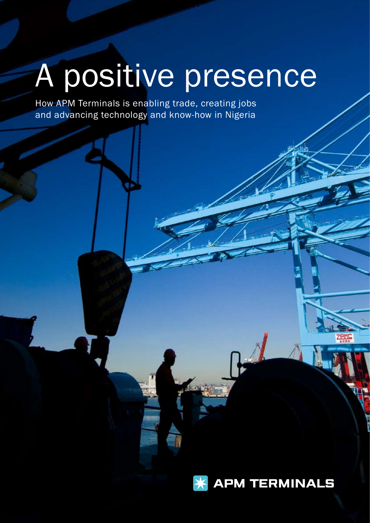# A positive presence

How APM Terminals is enabling trade, creating jobs and advancing technology and know-how in Nigeria

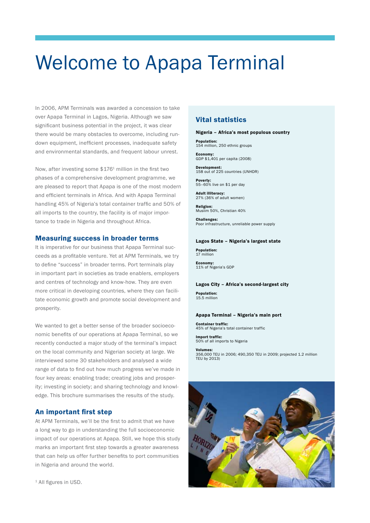# Welcome to Apapa Terminal

In 2006, APM Terminals was awarded a concession to take over Apapa Terminal in Lagos, Nigeria. Although we saw significant business potential in the project, it was clear there would be many obstacles to overcome, including rundown equipment, inefficient processes, inadequate safety and environmental standards, and frequent labour unrest.

Now, after investing some \$1761 million in the first two phases of a comprehensive development programme, we are pleased to report that Apapa is one of the most modern and efficient terminals in Africa. And with Apapa Terminal handling 45% of Nigeria's total container traffic and 50% of all imports to the country, the facility is of major importance to trade in Nigeria and throughout Africa.

### Measuring success in broader terms

It is imperative for our business that Apapa Terminal succeeds as a profitable venture. Yet at APM Terminals, we try to define "success" in broader terms. Port terminals play in important part in societies as trade enablers, employers and centres of technology and know-how. They are even more critical in developing countries, where they can facilitate economic growth and promote social development and prosperity.

We wanted to get a better sense of the broader socioeconomic benefits of our operations at Apapa Terminal, so we recently conducted a major study of the terminal's impact on the local community and Nigerian society at large. We interviewed some 30 stakeholders and analysed a wide range of data to find out how much progress we've made in four key areas: enabling trade; creating jobs and prosperity; investing in society; and sharing technology and knowledge. This brochure summarises the results of the study.

# An important first step

At APM Terminals, we'll be the first to admit that we have a long way to go in understanding the full socioeconomic impact of our operations at Apapa. Still, we hope this study marks an important first step towards a greater awareness that can help us offer further benefits to port communities in Nigeria and around the world.

# Vital statistics

### Nigeria – Africa's most populous country

Population: 154 million, 250 ethnic groups

Economy: GDP \$1,401 per capita (2008)

Development: 158 out of 225 countries (UNHDR)

Poverty: 55–60% live on \$1 per day

Adult illiteracy: 27% (36% of adult women)

Religion: Muslim 50%, Christian 40%

Challenges: Poor infrastructure, unreliable power supply

### Lagos State – Nigeria's largest state

Population: 17 million

Economy: 11% of Nigeria's GDP

### Lagos City – Africa's second-largest city

Population: 15.5 million

### Apapa Terminal – Nigeria's main port

Container traffic: 45% of Nigeria's total container traffic

Import traffic: of all imports to Nigeria

Volumes: 356,000 TEU in 2006; 490,350 TEU in 2009; projected 1.2 million TEU by 2013)



<sup>1</sup> All figures in USD.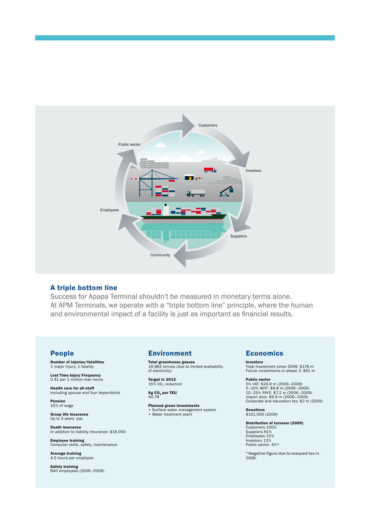

### A triple bottom line

Success for Apapa Terminal shouldn't be measured in monetary terms alone. At APM Terminals, we operate with a "triple bottom line" principle, where the human and environmental impact of a facility is just as important as financial results.

### People

Number of injuries/fatalities 1 major injury, 1 fatality

**Lost Time Injury Frequency**<br>0.41 per 1 million man hours

**Health care for all staff**<br>Including spouse and four dependants

Pension 15% of wage

Group life insurance Up to 3 years' pay

Death insurance In addition to liability insurance: \$16,000

**Employee training**<br>Computer skills, safety, maintenance

**Average training**<br>4.5 hours per employee

**Safety training**<br>840 employees (2006-2009)

# Environment

Total greenhouse gasses 19,982 tonnes (due to limited availability of electricity)

**Target in 2012**<br>15% CO<sub>2</sub> reduction

**Kg CO<sub>2</sub> per TEU**<br>40.78

**Planned green investments**<br>• Surface water management system • Water treatment plant

# **Economics**

Investors Total investment since 2006: \$176 m Future investments in phase 2: \$61 m

Public sector 5% VAT: \$24.9 m (2006–2009) 5–10% WHT: \$8.8 m (2006–2009) 10–25% PAYE: \$7.2 m (2006–2009) Import duty: \$9.6 m (2006–2009) Corporate and education tax: \$2 m (2009)

Donations \$101,000 (2009)

Distribution of turnover (2009) Customers 100% Suppliers 61% Employees 15% Investors 13% Public sector -4%\*

\* Negative figure due to overpaid tax in 2008.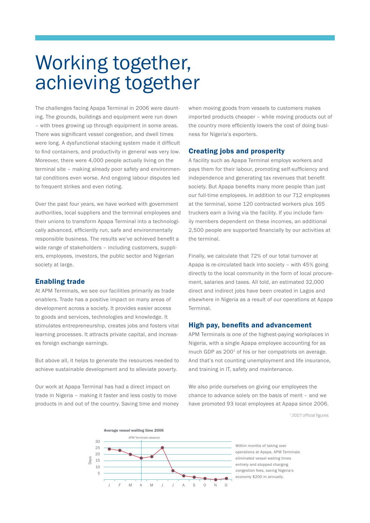# Working together, achieving together

The challenges facing Apapa Terminal in 2006 were daunting. The grounds, buildings and equipment were run down – with trees growing up through equipment in some areas. There was significant vessel congestion, and dwell times were long. A dysfunctional stacking system made it difficult to find containers, and productivity in general was very low. Moreover, there were 4,000 people actually living on the terminal site – making already poor safety and environmental conditions even worse. And ongoing labour disputes led to frequent strikes and even rioting.

Over the past four years, we have worked with government authorities, local suppliers and the terminal employees and their unions to transform Apapa Terminal into a technologically advanced, efficiently run, safe and environmentally responsible business. The results we've achieved benefit a wide range of stakeholders – including customers, suppliers, employees, investors, the public sector and Nigerian society at large.

### Enabling trade

At APM Terminals, we see our facilities primarily as trade enablers. Trade has a positive impact on many areas of development across a society. It provides easier access to goods and services, technologies and knowledge. It stimulates entrepreneurship, creates jobs and fosters vital learning processes. It attracts private capital, and increases foreign exchange earnings.

But above all, it helps to generate the resources needed to achieve sustainable development and to alleviate poverty.

Our work at Apapa Terminal has had a direct impact on trade in Nigeria – making it faster and less costly to move products in and out of the country. Saving time and money when moving goods from vessels to customers makes imported products cheaper – while moving products out of the country more efficiently lowers the cost of doing business for Nigeria's exporters.

### Creating jobs and prosperity

A facility such as Apapa Terminal employs workers and pays them for their labour, promoting self-sufficiency and independence and generating tax revenues that benefit society. But Apapa benefits many more people than just our full-time employees. In addition to our 712 employees at the terminal, some 120 contracted workers plus 165 truckers earn a living via the facility. If you include family members dependent on these incomes, an additional 2,500 people are supported financially by our activities at the terminal.

Finally, we calculate that 72% of our total turnover at Apapa is re-circulated back into society – with 45% going directly to the local community in the form of local procurement, salaries and taxes. All told, an estimated 32,000 direct and indirect jobs have been created in Lagos and elsewhere in Nigeria as a result of our operations at Apapa Terminal.

### High pay, benefits and advancement

APM Terminals is one of the highest-paying workplaces in Nigeria, with a single Apapa employee accounting for as much GDP as 200<sup>1</sup> of his or her compatriots on average. And that's not counting unemployment and life insurance, and training in IT, safety and maintenance.

We also pride ourselves on giving our employees the chance to advance solely on the basis of merit – and we have promoted 93 local employees at Apapa since 2006.





Within months of taking over operations at Apapa, APM Terminals eliminated vessel waiting times entirely and stopped charging congestion fees, saving Nigeria's economy \$200 m annually.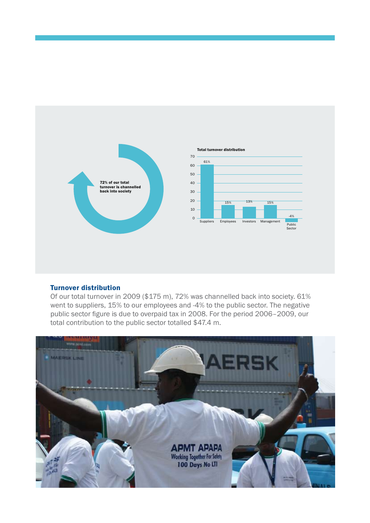

# Turnover distribution

Of our total turnover in 2009 (\$175 m), 72% was channelled back into society. 61% went to suppliers, 15% to our employees and -4% to the public sector. The negative public sector figure is due to overpaid tax in 2008. For the period 2006–2009, our total contribution to the public sector totalled \$47.4 m.

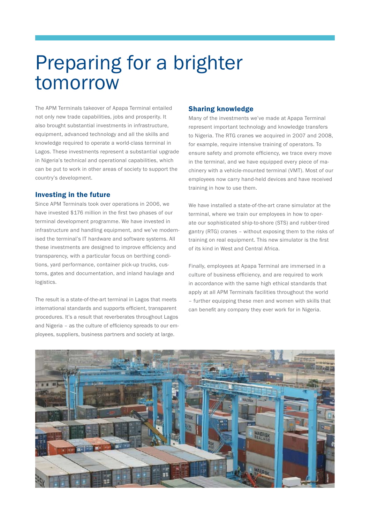# Preparing for a brighter tomorrow

The APM Terminals takeover of Apapa Terminal entailed not only new trade capabilities, jobs and prosperity. It also brought substantial investments in infrastructure, equipment, advanced technology and all the skills and knowledge required to operate a world-class terminal in Lagos. These investments represent a substantial upgrade in Nigeria's technical and operational capabilities, which can be put to work in other areas of society to support the country's development.

### Investing in the future

Since APM Terminals took over operations in 2006, we have invested \$176 million in the first two phases of our terminal development programme. We have invested in infrastructure and handling equipment, and we've modernised the terminal's IT hardware and software systems. All these investments are designed to improve efficiency and transparency, with a particular focus on berthing conditions, yard performance, container pick-up trucks, customs, gates and documentation, and inland haulage and logistics.

The result is a state-of-the-art terminal in Lagos that meets international standards and supports efficient, transparent procedures. It's a result that reverberates throughout Lagos and Nigeria – as the culture of efficiency spreads to our employees, suppliers, business partners and society at large.

# Sharing knowledge

Many of the investments we've made at Apapa Terminal represent important technology and knowledge transfers to Nigeria. The RTG cranes we acquired in 2007 and 2008, for example, require intensive training of operators. To ensure safety and promote efficiency, we trace every move in the terminal, and we have equipped every piece of machinery with a vehicle-mounted terminal (VMT). Most of our employees now carry hand-held devices and have received training in how to use them.

We have installed a state-of-the-art crane simulator at the terminal, where we train our employees in how to operate our sophisticated ship-to-shore (STS) and rubber-tired gantry (RTG) cranes – without exposing them to the risks of training on real equipment. This new simulator is the first of its kind in West and Central Africa.

Finally, employees at Apapa Terminal are immersed in a culture of business efficiency, and are required to work in accordance with the same high ethical standards that apply at all APM Terminals facilities throughout the world – further equipping these men and women with skills that can benefit any company they ever work for in Nigeria.

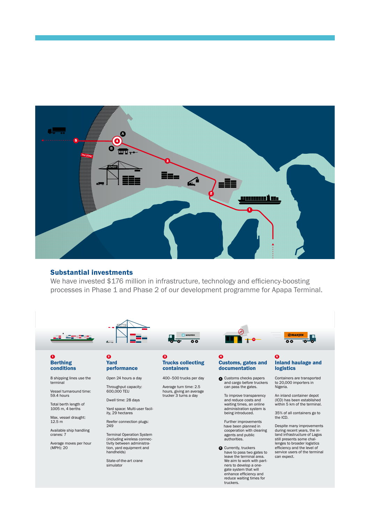

### Substantial investments

Terminal operations

We have invested \$176 million in infrastructure, technology and efficiency-boosting processes in Phase 1 and Phase 2 of our development programme for Apapa Terminal.



#### 1 Berthing conditions

8 shipping lines use the terminal

Vessel turnaround time: 59.4 hours

Total berth length of 1005 m, 4 berths

Max. vessel draught: 12.5 m

Available ship handling cranes: 7

Average moves per hour (MPH): 20

#### **Yard space** 2 **Pard** performance

APMT

crane simulator Open 24 hours a day

Throughput capacity: 600,000 TEU

Dwell time: 28 days Yard space: Multi-user facil-

ity, 29 hectares Reefer connection plugs: 249

Terminal Operation System (including wireless connec-tivity between administration, yard equipment and handhelds)

State-of-the-art crane simulator

#### $\bullet$ Trucks collecting containers

Average turn time is 2,5 hours giving an average trucker 3

 $\overline{\bullet}$ 

ᅲ

**4-500 trucks per day** 

400–500 trucks per day

 Average turn time: 2.5 hours, giving an average trucker 3 turns a day

Customs, gates and documentation  $\bullet$ 

> **A** Customs checks papers and cargo before truckers can pass the gates.

Customs, gates and documentation Customs check papers and cargo before the truckers can pass the gates. To improve transparency on costs, reduce costs and waiting time, an online administration system are being introduced. Further improvements are planned in

To improve transparency and reduce costs and waiting times, an online administration system is being introduced.

Further improvements have been planned in cooperation with clearing agents and public authorities.

**B** Currently, truckers have to pass two gates to leave the terminal area. We aim to work with partners to develop a onegate system that will enhance efficiency and reduce waiting times for truckers.

#### $\bullet$ Inland haulage and logistics

**Portaniin**<br>Inland container depot (ICD) in Nigeria 5 km distance with a 5 km distance with 1 km distance with 1 km distance  $\overline{O}$  of  $\overline{O}$   $\overline{O}$   $\overline{O}$   $\overline{O}$   $\overline{O}$   $\overline{O}$   $\overline{O}$   $\overline{O}$   $\overline{O}$   $\overline{O}$   $\overline{O}$   $\overline{O}$   $\overline{O}$   $\overline{O}$   $\overline{O}$   $\overline{O}$   $\overline{O}$   $\overline{O}$   $\overline{O}$   $\overline{O}$   $\overline{O}$   $\overline{O}$   $\overline{O}$   $\$ 

Containers are transported to 20,000 importers in Nigeria.

An inland container depot (ICD) has been established within 5 km of the terminal.

35% of all containers go to the ICD.

Despite many improvements during recent years, the inland infrastructure of Lagos still presents some challenges to broader logistics efficiency and the level of service users of the terminal can expect.